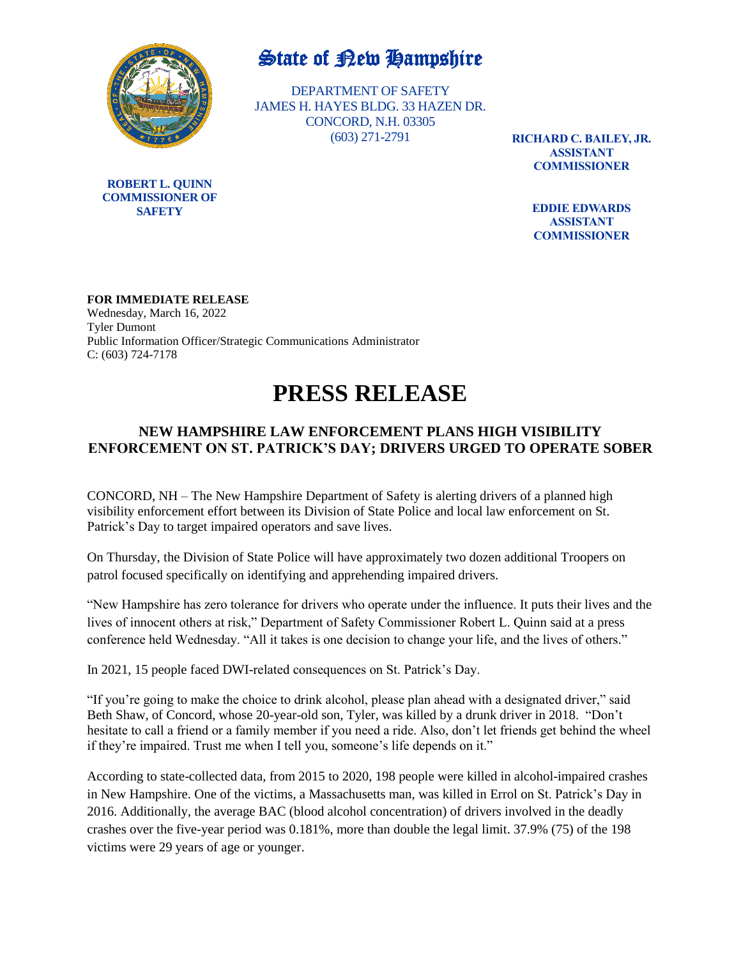

**ROBERT L. QUINN COMMISSIONER OF SAFETY**

## State of Rew Hampshire

DEPARTMENT OF SAFETY JAMES H. HAYES BLDG. 33 HAZEN DR. CONCORD, N.H. 03305 (603) 271-2791

**RICHARD C. BAILEY, JR. ASSISTANT COMMISSIONER**

> **EDDIE EDWARDS ASSISTANT COMMISSIONER**

**FOR IMMEDIATE RELEASE** Wednesday, March 16, 2022 Tyler Dumont Public Information Officer/Strategic Communications Administrator C: (603) 724-7178

## **PRESS RELEASE**

## **NEW HAMPSHIRE LAW ENFORCEMENT PLANS HIGH VISIBILITY ENFORCEMENT ON ST. PATRICK'S DAY; DRIVERS URGED TO OPERATE SOBER**

CONCORD, NH – The New Hampshire Department of Safety is alerting drivers of a planned high visibility enforcement effort between its Division of State Police and local law enforcement on St. Patrick's Day to target impaired operators and save lives.

On Thursday, the Division of State Police will have approximately two dozen additional Troopers on patrol focused specifically on identifying and apprehending impaired drivers.

"New Hampshire has zero tolerance for drivers who operate under the influence. It puts their lives and the lives of innocent others at risk," Department of Safety Commissioner Robert L. Quinn said at a press conference held Wednesday. "All it takes is one decision to change your life, and the lives of others."

In 2021, 15 people faced DWI-related consequences on St. Patrick's Day.

"If you're going to make the choice to drink alcohol, please plan ahead with a designated driver," said Beth Shaw, of Concord, whose 20-year-old son, Tyler, was killed by a drunk driver in 2018. "Don't hesitate to call a friend or a family member if you need a ride. Also, don't let friends get behind the wheel if they're impaired. Trust me when I tell you, someone's life depends on it."

According to state-collected data, from 2015 to 2020, 198 people were killed in alcohol-impaired crashes in New Hampshire. One of the victims, a Massachusetts man, was killed in Errol on St. Patrick's Day in 2016. Additionally, the average BAC (blood alcohol concentration) of drivers involved in the deadly crashes over the five-year period was 0.181%, more than double the legal limit. 37.9% (75) of the 198 victims were 29 years of age or younger.